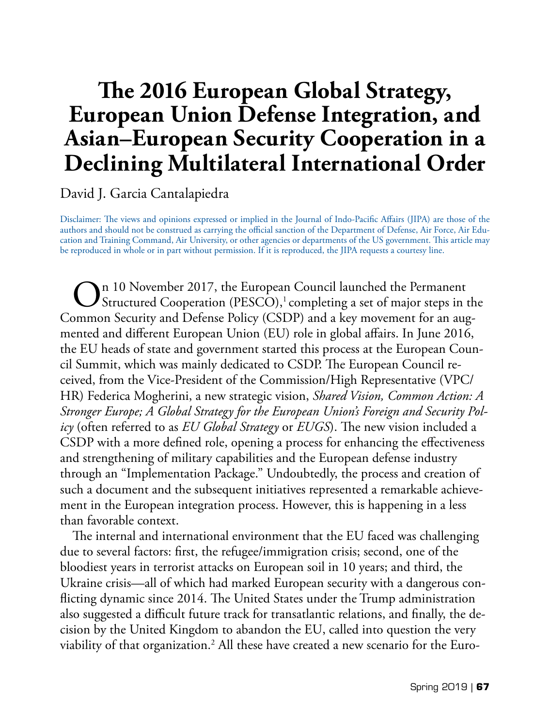# **The 2016 European Global Strategy, European Union Defense Integration, and Asian–European Security Cooperation in a Declining Multilateral International Order**

David J. Garcia Cantalapiedra

Disclaimer: The views and opinions expressed or implied in the Journal of Indo-Pacific Affairs (JIPA) are those of the authors and should not be construed as carrying the official sanction of the Department of Defense, Air Force, Air Education and Training Command, Air University, or other agencies or departments of the US government. This article may be reproduced in whole or in part without permission. If it is reproduced, the JIPA requests a courtesy line.

 $\bigodot$ <sup>n 10</sup> November 2017, the European Council launched the Permanent<br>Structured Cooperation (PESCO),<sup>1</sup> completing a set of major steps in the Common Security and Defense Policy (CSDP) and a key movement for an augmented and different European Union (EU) role in global affairs. In June 2016, the EU heads of state and government started this process at the European Council Summit, which was mainly dedicated to CSDP. The European Council received, from the Vice-President of the Commission/High Representative (VPC/ HR) Federica Mogherini, a new strategic vision, *Shared Vision, Common Action: A Stronger Europe; A Global Strategy for the European Union's Foreign and Security Policy* (often referred to as *EU Global Strategy* or *EUGS*). The new vision included a CSDP with a more defined role, opening a process for enhancing the effectiveness and strengthening of military capabilities and the European defense industry through an "Implementation Package." Undoubtedly, the process and creation of such a document and the subsequent initiatives represented a remarkable achievement in the European integration process. However, this is happening in a less than favorable context.

The internal and international environment that the EU faced was challenging due to several factors: first, the refugee/immigration crisis; second, one of the bloodiest years in terrorist attacks on European soil in 10 years; and third, the Ukraine crisis—all of which had marked European security with a dangerous conflicting dynamic since 2014. The United States under the Trump administration also suggested a difficult future track for transatlantic relations, and finally, the decision by the United Kingdom to abandon the EU, called into question the very viability of that organization.<sup>2</sup> All these have created a new scenario for the Euro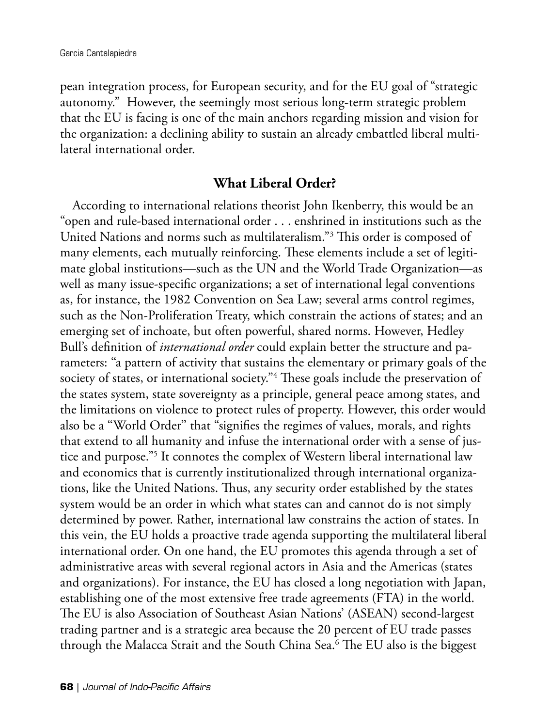pean integration process, for European security, and for the EU goal of "strategic autonomy." However, the seemingly most serious long-term strategic problem that the EU is facing is one of the main anchors regarding mission and vision for the organization: a declining ability to sustain an already embattled liberal multilateral international order.

# **What Liberal Order?**

According to international relations theorist John Ikenberry, this would be an "open and rule-based international order . . . enshrined in institutions such as the United Nations and norms such as multilateralism."3 This order is composed of many elements, each mutually reinforcing. These elements include a set of legitimate global institutions—such as the UN and the World Trade Organization—as well as many issue-specific organizations; a set of international legal conventions as, for instance, the 1982 Convention on Sea Law; several arms control regimes, such as the Non-Proliferation Treaty, which constrain the actions of states; and an emerging set of inchoate, but often powerful, shared norms. However, Hedley Bull's definition of *international order* could explain better the structure and parameters: ''a pattern of activity that sustains the elementary or primary goals of the society of states, or international society."<sup>4</sup> These goals include the preservation of the states system, state sovereignty as a principle, general peace among states, and the limitations on violence to protect rules of property. However, this order would also be a ''World Order'' that "signifies the regimes of values, morals, and rights that extend to all humanity and infuse the international order with a sense of justice and purpose."5 It connotes the complex of Western liberal international law and economics that is currently institutionalized through international organizations, like the United Nations. Thus, any security order established by the states system would be an order in which what states can and cannot do is not simply determined by power. Rather, international law constrains the action of states. In this vein, the EU holds a proactive trade agenda supporting the multilateral liberal international order. On one hand, the EU promotes this agenda through a set of administrative areas with several regional actors in Asia and the Americas (states and organizations). For instance, the EU has closed a long negotiation with Japan, establishing one of the most extensive free trade agreements (FTA) in the world. The EU is also Association of Southeast Asian Nations' (ASEAN) second-largest trading partner and is a strategic area because the 20 percent of EU trade passes through the Malacca Strait and the South China Sea.6 The EU also is the biggest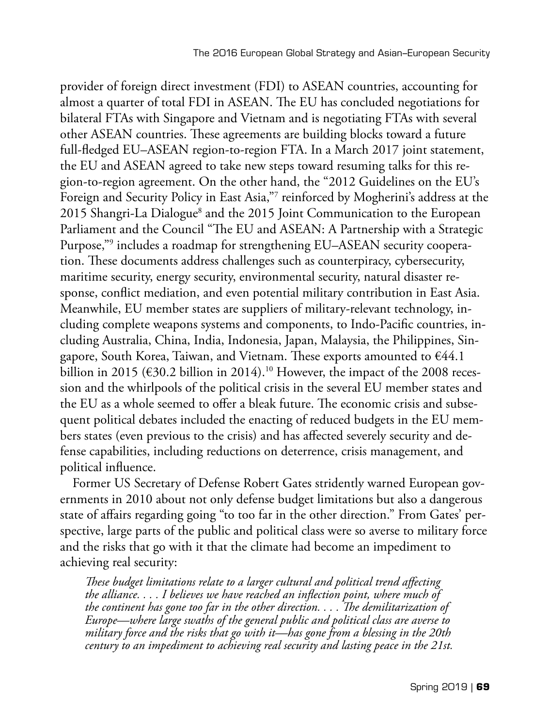provider of foreign direct investment (FDI) to ASEAN countries, accounting for almost a quarter of total FDI in ASEAN. The EU has concluded negotiations for bilateral FTAs with Singapore and Vietnam and is negotiating FTAs with several other ASEAN countries. These agreements are building blocks toward a future full-fledged EU–ASEAN region-to-region FTA. In a March 2017 joint statement, the EU and ASEAN agreed to take new steps toward resuming talks for this region-to-region agreement. On the other hand, the "2012 Guidelines on the EU's Foreign and Security Policy in East Asia,"7 reinforced by Mogherini's address at the 2015 Shangri-La Dialogue<sup>8</sup> and the 2015 Joint Communication to the European Parliament and the Council "The EU and ASEAN: A Partnership with a Strategic Purpose,"9 includes a roadmap for strengthening EU–ASEAN security cooperation. These documents address challenges such as counterpiracy, cybersecurity, maritime security, energy security, environmental security, natural disaster response, conflict mediation, and even potential military contribution in East Asia. Meanwhile, EU member states are suppliers of military-relevant technology, including complete weapons systems and components, to Indo-Pacific countries, including Australia, China, India, Indonesia, Japan, Malaysia, the Philippines, Singapore, South Korea, Taiwan, and Vietnam. These exports amounted to €44.1 billion in 2015 ( $\epsilon$ 30.2 billion in 2014).<sup>10</sup> However, the impact of the 2008 recession and the whirlpools of the political crisis in the several EU member states and the EU as a whole seemed to offer a bleak future. The economic crisis and subsequent political debates included the enacting of reduced budgets in the EU members states (even previous to the crisis) and has affected severely security and defense capabilities, including reductions on deterrence, crisis management, and political influence.

Former US Secretary of Defense Robert Gates stridently warned European governments in 2010 about not only defense budget limitations but also a dangerous state of affairs regarding going "to too far in the other direction." From Gates' perspective, large parts of the public and political class were so averse to military force and the risks that go with it that the climate had become an impediment to achieving real security:

*These budget limitations relate to a larger cultural and political trend affecting the alliance. . . . I believes we have reached an inflection point, where much of the continent has gone too far in the other direction. . . . The demilitarization of Europe—where large swaths of the general public and political class are averse to military force and the risks that go with it—has gone from a blessing in the 20th century to an impediment to achieving real security and lasting peace in the 21st.*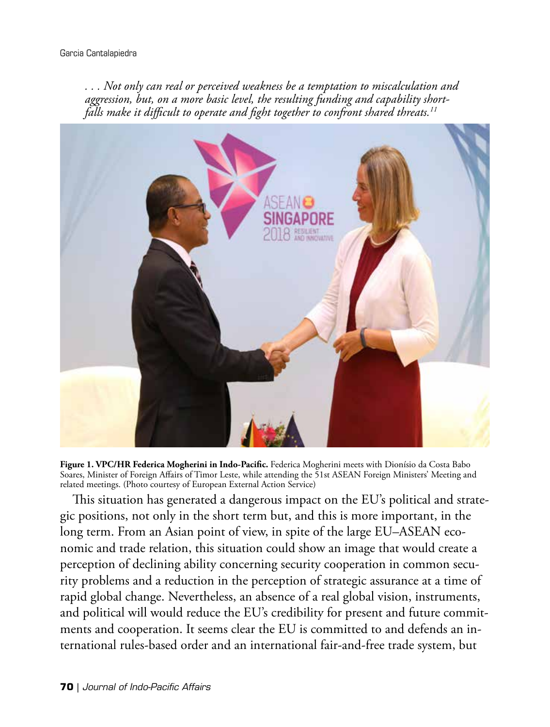*. . . Not only can real or perceived weakness be a temptation to miscalculation and aggression, but, on a more basic level, the resulting funding and capability shortfalls make it difficult to operate and fight together to confront shared threats.11*



**Figure 1. VPC/HR Federica Mogherini in Indo-Pacific.** Federica Mogherini meets with Dionísio da Costa Babo Soares, Minister of Foreign Affairs of Timor Leste, while attending the 51st ASEAN Foreign Ministers' Meeting and related meetings. (Photo courtesy of European External Action Service)

This situation has generated a dangerous impact on the EU's political and strategic positions, not only in the short term but, and this is more important, in the long term. From an Asian point of view, in spite of the large EU–ASEAN economic and trade relation, this situation could show an image that would create a perception of declining ability concerning security cooperation in common security problems and a reduction in the perception of strategic assurance at a time of rapid global change. Nevertheless, an absence of a real global vision, instruments, and political will would reduce the EU's credibility for present and future commitments and cooperation. It seems clear the EU is committed to and defends an international rules-based order and an international fair-and-free trade system, but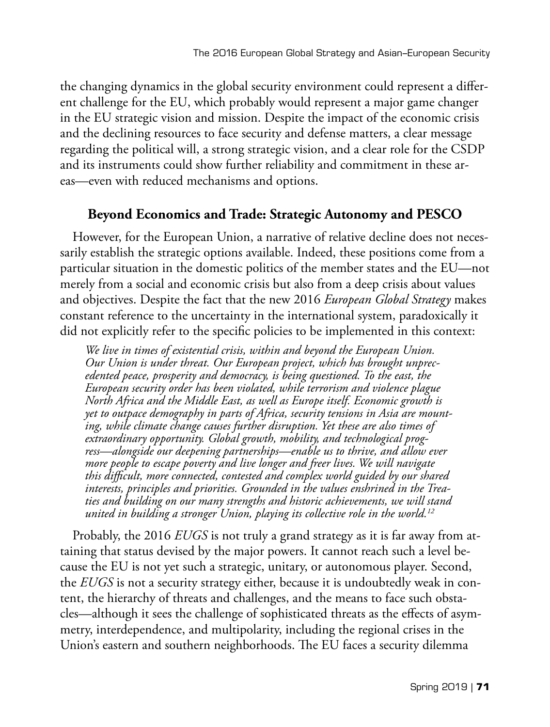the changing dynamics in the global security environment could represent a different challenge for the EU, which probably would represent a major game changer in the EU strategic vision and mission. Despite the impact of the economic crisis and the declining resources to face security and defense matters, a clear message regarding the political will, a strong strategic vision, and a clear role for the CSDP and its instruments could show further reliability and commitment in these areas—even with reduced mechanisms and options.

## **Beyond Economics and Trade: Strategic Autonomy and PESCO**

However, for the European Union, a narrative of relative decline does not necessarily establish the strategic options available. Indeed, these positions come from a particular situation in the domestic politics of the member states and the EU—not merely from a social and economic crisis but also from a deep crisis about values and objectives. Despite the fact that the new 2016 *European Global Strategy* makes constant reference to the uncertainty in the international system, paradoxically it did not explicitly refer to the specific policies to be implemented in this context:

*We live in times of existential crisis, within and beyond the European Union. Our Union is under threat. Our European project, which has brought unprecedented peace, prosperity and democracy, is being questioned. To the east, the European security order has been violated, while terrorism and violence plague North Africa and the Middle East, as well as Europe itself. Economic growth is yet to outpace demography in parts of Africa, security tensions in Asia are mounting, while climate change causes further disruption. Yet these are also times of extraordinary opportunity. Global growth, mobility, and technological progress—alongside our deepening partnerships—enable us to thrive, and allow ever more people to escape poverty and live longer and freer lives. We will navigate this difficult, more connected, contested and complex world guided by our shared interests, principles and priorities. Grounded in the values enshrined in the Treaties and building on our many strengths and historic achievements, we will stand united in building a stronger Union, playing its collective role in the world.12*

Probably, the 2016 *EUGS* is not truly a grand strategy as it is far away from attaining that status devised by the major powers. It cannot reach such a level because the EU is not yet such a strategic, unitary, or autonomous player. Second, the *EUGS* is not a security strategy either, because it is undoubtedly weak in content, the hierarchy of threats and challenges, and the means to face such obstacles—although it sees the challenge of sophisticated threats as the effects of asymmetry, interdependence, and multipolarity, including the regional crises in the Union's eastern and southern neighborhoods. The EU faces a security dilemma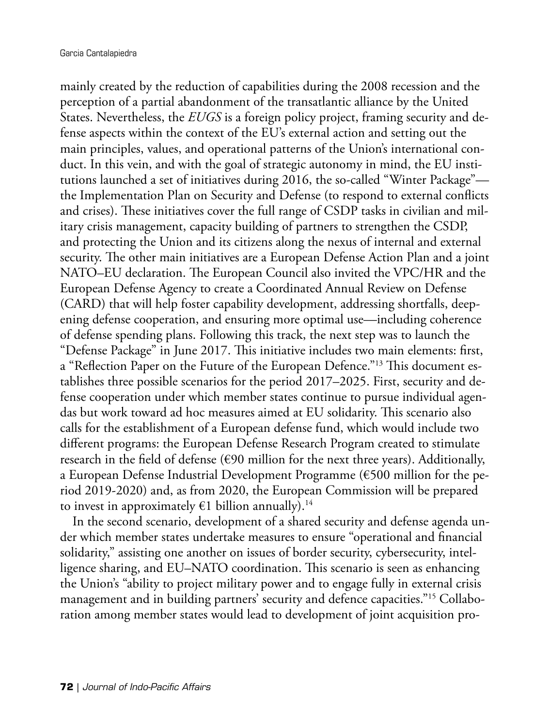mainly created by the reduction of capabilities during the 2008 recession and the perception of a partial abandonment of the transatlantic alliance by the United States. Nevertheless, the *EUGS* is a foreign policy project, framing security and defense aspects within the context of the EU's external action and setting out the main principles, values, and operational patterns of the Union's international conduct. In this vein, and with the goal of strategic autonomy in mind, the EU institutions launched a set of initiatives during 2016, the so-called "Winter Package" the Implementation Plan on Security and Defense (to respond to external conflicts and crises). These initiatives cover the full range of CSDP tasks in civilian and military crisis management, capacity building of partners to strengthen the CSDP, and protecting the Union and its citizens along the nexus of internal and external security. The other main initiatives are a European Defense Action Plan and a joint NATO–EU declaration. The European Council also invited the VPC/HR and the European Defense Agency to create a Coordinated Annual Review on Defense (CARD) that will help foster capability development, addressing shortfalls, deepening defense cooperation, and ensuring more optimal use—including coherence of defense spending plans. Following this track, the next step was to launch the "Defense Package" in June 2017. This initiative includes two main elements: first, a "Reflection Paper on the Future of the European Defence."13 This document establishes three possible scenarios for the period 2017–2025. First, security and defense cooperation under which member states continue to pursue individual agendas but work toward ad hoc measures aimed at EU solidarity. This scenario also calls for the establishment of a European defense fund, which would include two different programs: the European Defense Research Program created to stimulate research in the field of defense (€90 million for the next three years). Additionally, a European Defense Industrial Development Programme (€500 million for the period 2019-2020) and, as from 2020, the European Commission will be prepared to invest in approximately  $E1$  billion annually).<sup>14</sup>

In the second scenario, development of a shared security and defense agenda under which member states undertake measures to ensure "operational and financial solidarity," assisting one another on issues of border security, cybersecurity, intelligence sharing, and EU–NATO coordination. This scenario is seen as enhancing the Union's "ability to project military power and to engage fully in external crisis management and in building partners' security and defence capacities."15 Collaboration among member states would lead to development of joint acquisition pro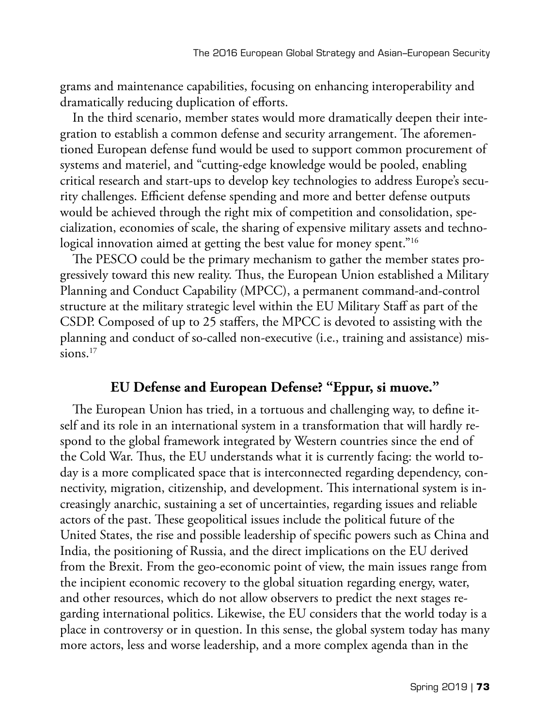grams and maintenance capabilities, focusing on enhancing interoperability and dramatically reducing duplication of efforts.

In the third scenario, member states would more dramatically deepen their integration to establish a common defense and security arrangement. The aforementioned European defense fund would be used to support common procurement of systems and materiel, and "cutting-edge knowledge would be pooled, enabling critical research and start-ups to develop key technologies to address Europe's security challenges. Efficient defense spending and more and better defense outputs would be achieved through the right mix of competition and consolidation, specialization, economies of scale, the sharing of expensive military assets and technological innovation aimed at getting the best value for money spent."<sup>16</sup>

The PESCO could be the primary mechanism to gather the member states progressively toward this new reality. Thus, the European Union established a Military Planning and Conduct Capability (MPCC), a permanent command-and-control structure at the military strategic level within the EU Military Staff as part of the CSDP. Composed of up to 25 staffers, the MPCC is devoted to assisting with the planning and conduct of so-called non-executive (i.e., training and assistance) missions. $17$ 

### **EU Defense and European Defense? "Eppur, si muove."**

The European Union has tried, in a tortuous and challenging way, to define itself and its role in an international system in a transformation that will hardly respond to the global framework integrated by Western countries since the end of the Cold War. Thus, the EU understands what it is currently facing: the world today is a more complicated space that is interconnected regarding dependency, connectivity, migration, citizenship, and development. This international system is increasingly anarchic, sustaining a set of uncertainties, regarding issues and reliable actors of the past. These geopolitical issues include the political future of the United States, the rise and possible leadership of specific powers such as China and India, the positioning of Russia, and the direct implications on the EU derived from the Brexit. From the geo-economic point of view, the main issues range from the incipient economic recovery to the global situation regarding energy, water, and other resources, which do not allow observers to predict the next stages regarding international politics. Likewise, the EU considers that the world today is a place in controversy or in question. In this sense, the global system today has many more actors, less and worse leadership, and a more complex agenda than in the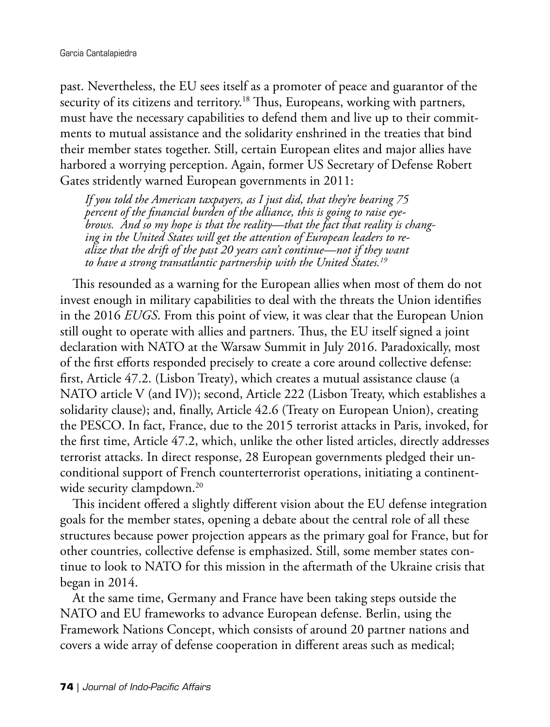past. Nevertheless, the EU sees itself as a promoter of peace and guarantor of the security of its citizens and territory.<sup>18</sup> Thus, Europeans, working with partners, must have the necessary capabilities to defend them and live up to their commitments to mutual assistance and the solidarity enshrined in the treaties that bind their member states together. Still, certain European elites and major allies have harbored a worrying perception. Again, former US Secretary of Defense Robert Gates stridently warned European governments in 2011:

*If you told the American taxpayers, as I just did, that they're bearing 75 percent of the financial burden of the alliance, this is going to raise eyebrows. And so my hope is that the reality—that the fact that reality is changing in the United States will get the attention of European leaders to realize that the drift of the past 20 years can't continue—not if they want to have a strong transatlantic partnership with the United States.19*

This resounded as a warning for the European allies when most of them do not invest enough in military capabilities to deal with the threats the Union identifies in the 2016 *EUGS*. From this point of view, it was clear that the European Union still ought to operate with allies and partners. Thus, the EU itself signed a joint declaration with NATO at the Warsaw Summit in July 2016. Paradoxically, most of the first efforts responded precisely to create a core around collective defense: first, Article 47.2. (Lisbon Treaty), which creates a mutual assistance clause (a NATO article V (and IV)); second, Article 222 (Lisbon Treaty, which establishes a solidarity clause); and, finally, Article 42.6 (Treaty on European Union), creating the PESCO. In fact, France, due to the 2015 terrorist attacks in Paris, invoked, for the first time, Article 47.2, which, unlike the other listed articles, directly addresses terrorist attacks. In direct response, 28 European governments pledged their unconditional support of French counterterrorist operations, initiating a continentwide security clampdown.<sup>20</sup>

This incident offered a slightly different vision about the EU defense integration goals for the member states, opening a debate about the central role of all these structures because power projection appears as the primary goal for France, but for other countries, collective defense is emphasized. Still, some member states continue to look to NATO for this mission in the aftermath of the Ukraine crisis that began in 2014.

At the same time, Germany and France have been taking steps outside the NATO and EU frameworks to advance European defense. Berlin, using the Framework Nations Concept, which consists of around 20 partner nations and covers a wide array of defense cooperation in different areas such as medical;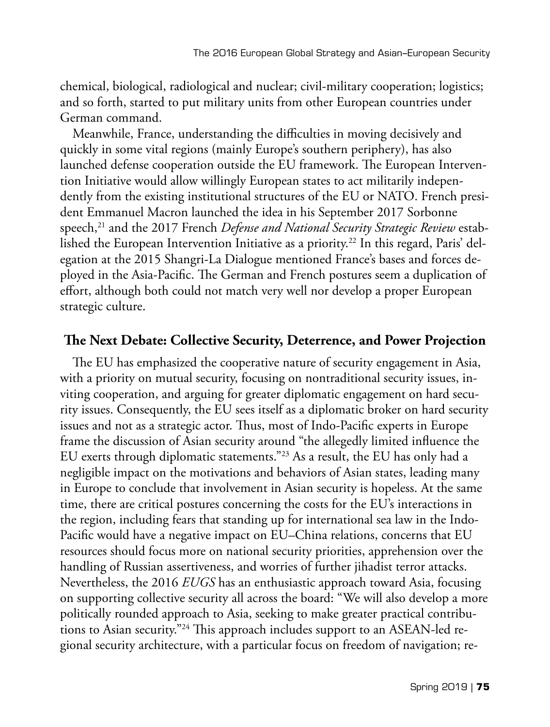chemical, biological, radiological and nuclear; civil-military cooperation; logistics; and so forth, started to put military units from other European countries under German command.

Meanwhile, France, understanding the difficulties in moving decisively and quickly in some vital regions (mainly Europe's southern periphery), has also launched defense cooperation outside the EU framework. The European Intervention Initiative would allow willingly European states to act militarily independently from the existing institutional structures of the EU or NATO. French president Emmanuel Macron launched the idea in his September 2017 Sorbonne speech,21 and the 2017 French *Defense and National Security Strategic Review* established the European Intervention Initiative as a priority.<sup>22</sup> In this regard, Paris' delegation at the 2015 Shangri-La Dialogue mentioned France's bases and forces deployed in the Asia-Pacific. The German and French postures seem a duplication of effort, although both could not match very well nor develop a proper European strategic culture.

### **The Next Debate: Collective Security, Deterrence, and Power Projection**

The EU has emphasized the cooperative nature of security engagement in Asia, with a priority on mutual security, focusing on nontraditional security issues, inviting cooperation, and arguing for greater diplomatic engagement on hard security issues. Consequently, the EU sees itself as a diplomatic broker on hard security issues and not as a strategic actor. Thus, most of Indo-Pacific experts in Europe frame the discussion of Asian security around "the allegedly limited influence the EU exerts through diplomatic statements."23 As a result, the EU has only had a negligible impact on the motivations and behaviors of Asian states, leading many in Europe to conclude that involvement in Asian security is hopeless. At the same time, there are critical postures concerning the costs for the EU's interactions in the region, including fears that standing up for international sea law in the Indo-Pacific would have a negative impact on EU–China relations, concerns that EU resources should focus more on national security priorities, apprehension over the handling of Russian assertiveness, and worries of further jihadist terror attacks. Nevertheless, the 2016 *EUGS* has an enthusiastic approach toward Asia, focusing on supporting collective security all across the board: "We will also develop a more politically rounded approach to Asia, seeking to make greater practical contributions to Asian security."24 This approach includes support to an ASEAN-led regional security architecture, with a particular focus on freedom of navigation; re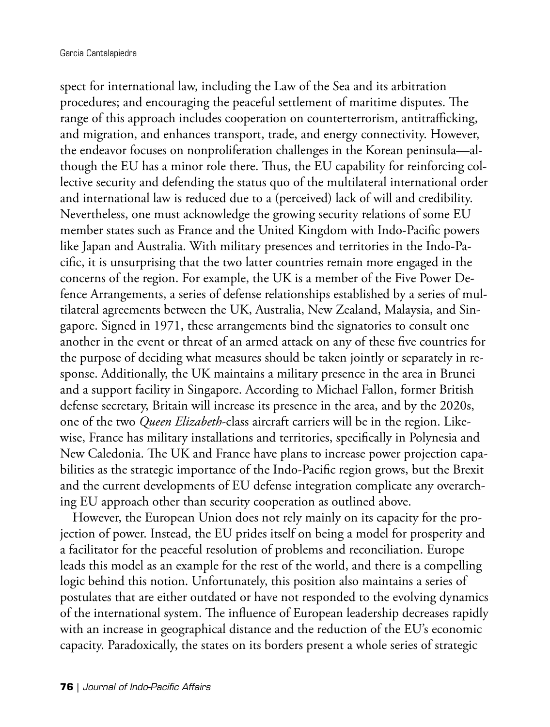spect for international law, including the Law of the Sea and its arbitration procedures; and encouraging the peaceful settlement of maritime disputes. The range of this approach includes cooperation on counterterrorism, antitrafficking, and migration, and enhances transport, trade, and energy connectivity. However, the endeavor focuses on nonproliferation challenges in the Korean peninsula—although the EU has a minor role there. Thus, the EU capability for reinforcing collective security and defending the status quo of the multilateral international order and international law is reduced due to a (perceived) lack of will and credibility. Nevertheless, one must acknowledge the growing security relations of some EU member states such as France and the United Kingdom with Indo-Pacific powers like Japan and Australia. With military presences and territories in the Indo-Pacific, it is unsurprising that the two latter countries remain more engaged in the concerns of the region. For example, the UK is a member of the Five Power Defence Arrangements, a series of defense relationships established by a series of multilateral agreements between the UK, Australia, New Zealand, Malaysia, and Singapore. Signed in 1971, these arrangements bind the signatories to consult one another in the event or threat of an armed attack on any of these five countries for the purpose of deciding what measures should be taken jointly or separately in response. Additionally, the UK maintains a military presence in the area in Brunei and a support facility in Singapore. According to Michael Fallon, former British defense secretary, Britain will increase its presence in the area, and by the 2020s, one of the two *Queen Elizabeth*-class aircraft carriers will be in the region. Likewise, France has military installations and territories, specifically in Polynesia and New Caledonia. The UK and France have plans to increase power projection capabilities as the strategic importance of the Indo-Pacific region grows, but the Brexit and the current developments of EU defense integration complicate any overarching EU approach other than security cooperation as outlined above.

However, the European Union does not rely mainly on its capacity for the projection of power. Instead, the EU prides itself on being a model for prosperity and a facilitator for the peaceful resolution of problems and reconciliation. Europe leads this model as an example for the rest of the world, and there is a compelling logic behind this notion. Unfortunately, this position also maintains a series of postulates that are either outdated or have not responded to the evolving dynamics of the international system. The influence of European leadership decreases rapidly with an increase in geographical distance and the reduction of the EU's economic capacity. Paradoxically, the states on its borders present a whole series of strategic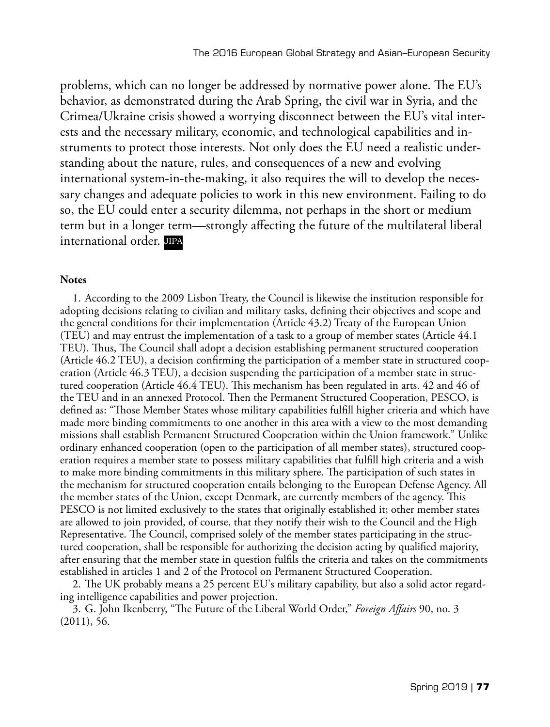problems, which can no longer be addressed by normative power alone. The EU's behavior, as demonstrated during the Arab Spring, the civil war in Syria, and the Crimea/Ukraine crisis showed a worrying disconnect between the EU's vital interests and the necessary military, economic, and technological capabilities and instruments to protect those interests. Not only does the EU need a realistic understanding about the nature, rules, and consequences of a new and evolving international system-in-the-making, it also requires the will to develop the necessary changes and adequate policies to work in this new environment. Failing to do so, the EU could enter a security dilemma, not perhaps in the short or medium term but in a longer term—strongly affecting the future of the multilateral liberal international order. JIPA

#### **Notes**

1. According to the 2009 Lisbon Treaty, the Council is likewise the institution responsible for adopting decisions relating to civilian and military tasks, defining their objectives and scope and the general conditions for their implementation (Article 43.2) Treaty of the European Union (TEU) and may entrust the implementation of a task to a group of member states (Article 44.1 TEU). Thus, The Council shall adopt a decision establishing permanent structured cooperation (Article 46.2 TEU), a decision confirming the participation of a member state in structured cooperation (Article 46.3 TEU), a decision suspending the participation of a member state in structured cooperation (Article 46.4 TEU). This mechanism has been regulated in arts. 42 and 46 of the TEU and in an annexed Protocol. Then the Permanent Structured Cooperation, PESCO, is defined as: "Those Member States whose military capabilities fulfill higher criteria and which have made more binding commitments to one another in this area with a view to the most demanding missions shall establish Permanent Structured Cooperation within the Union framework." Unlike ordinary enhanced cooperation (open to the participation of all member states), structured cooperation requires a member state to possess military capabilities that fulfill high criteria and a wish to make more binding commitments in this military sphere. The participation of such states in the mechanism for structured cooperation entails belonging to the European Defense Agency. All the member states of the Union, except Denmark, are currently members of the agency. This PESCO is not limited exclusively to the states that originally established it; other member states are allowed to join provided, of course, that they notify their wish to the Council and the High Representative. The Council, comprised solely of the member states participating in the structured cooperation, shall be responsible for authorizing the decision acting by qualified majority, after ensuring that the member state in question fulfils the criteria and takes on the commitments established in articles 1 and 2 of the Protocol on Permanent Structured Cooperation.

2. The UK probably means a 25 percent EU's military capability, but also a solid actor regarding intelligence capabilities and power projection.

3. G. John Ikenberry, "The Future of the Liberal World Order," *Foreign Affairs* 90, no. 3 (2011), 56.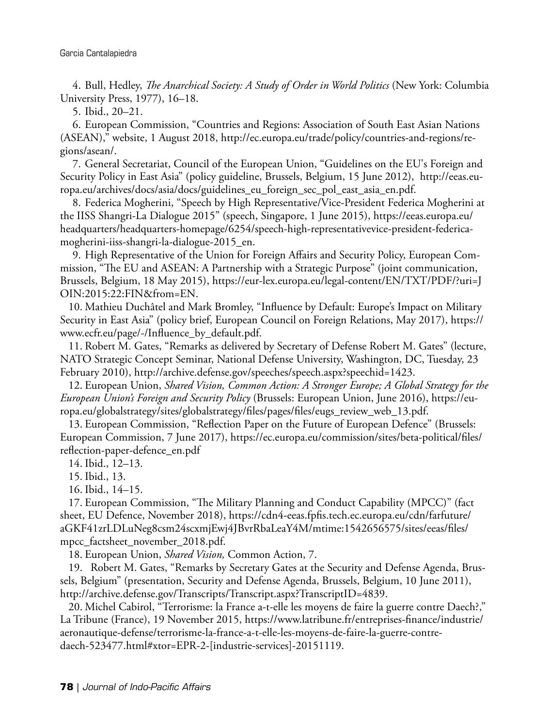4. Bull, Hedley, *The Anarchical Society: A Study of Order in World Politics* (New York: Columbia University Press, 1977), 16–18.

5. Ibid., 20–21.

6. European Commission, "Countries and Regions: Association of South East Asian Nations (ASEAN)," website, 1 August 2018, http://ec.europa.eu/trade/policy/countries-and-regions/regions/asean/.

7. General Secretariat, Council of the European Union, "Guidelines on the EU's Foreign and Security Policy in East Asia" (policy guideline, Brussels, Belgium, 15 June 2012), http://eeas.europa.eu/archives/docs/asia/docs/guidelines\_eu\_foreign\_sec\_pol\_east\_asia\_en.pdf.

8. Federica Mogherini, "Speech by High Representative/Vice-President Federica Mogherini at the IISS Shangri-La Dialogue 2015" (speech, Singapore, 1 June 2015), https://eeas.europa.eu/ headquarters/headquarters-homepage/6254/speech-high-representativevice-president-federicamogherini-iiss-shangri-la-dialogue-2015\_en.

9. High Representative of the Union for Foreign Affairs and Security Policy, European Commission, "The EU and ASEAN: A Partnership with a Strategic Purpose" (joint communication, Brussels, Belgium, 18 May 2015), https://eur-lex.europa.eu/legal-content/EN/TXT/PDF/?uri=J OIN:2015:22:FIN&from=EN.

10. Mathieu Duchâtel and Mark Bromley, "Influence by Default: Europe's Impact on Military Security in East Asia" (policy brief, European Council on Foreign Relations, May 2017), https:// www.ecfr.eu/page/-/Influence\_by\_default.pdf.

11. Robert M. Gates, "Remarks as delivered by Secretary of Defense Robert M. Gates" (lecture, NATO Strategic Concept Seminar, National Defense University, Washington, DC, Tuesday, 23 February 2010), http://archive.defense.gov/speeches/speech.aspx?speechid=1423.

12. European Union, *Shared Vision, Common Action: A Stronger Europe; A Global Strategy for the European Union's Foreign and Security Policy* (Brussels: European Union, June 2016), https://europa.eu/globalstrategy/sites/globalstrategy/files/pages/files/eugs\_review\_web\_13.pdf.

13. European Commission, "Reflection Paper on the Future of European Defence" (Brussels: European Commission, 7 June 2017), https://ec.europa.eu/commission/sites/beta-political/files/ reflection-paper-defence\_en.pdf

14. Ibid., 12–13.

15. Ibid., 13.

16. Ibid., 14–15.

17. European Commission, "The Military Planning and Conduct Capability (MPCC)" (fact sheet, EU Defence, November 2018), https://cdn4-eeas.fpfis.tech.ec.europa.eu/cdn/farfuture/ aGKF41zrLDLuNeg8csm24scxmjEwj4JBvrRbaLeaY4M/mtime:1542656575/sites/eeas/files/ mpcc\_factsheet\_november\_2018.pdf.

18. European Union, *Shared Vision,* Common Action, 7.

19. Robert M. Gates, "Remarks by Secretary Gates at the Security and Defense Agenda, Brussels, Belgium" (presentation, Security and Defense Agenda, Brussels, Belgium, 10 June 2011), http://archive.defense.gov/Transcripts/Transcript.aspx?TranscriptID=4839.

20. Michel Cabirol, "Terrorisme: la France a-t-elle les moyens de faire la guerre contre Daech?," La Tribune (France), 19 November 2015, https://www.latribune.fr/entreprises-finance/industrie/ aeronautique-defense/terrorisme-la-france-a-t-elle-les-moyens-de-faire-la-guerre-contredaech-523477.html#xtor=EPR-2-[industrie-services]-20151119.